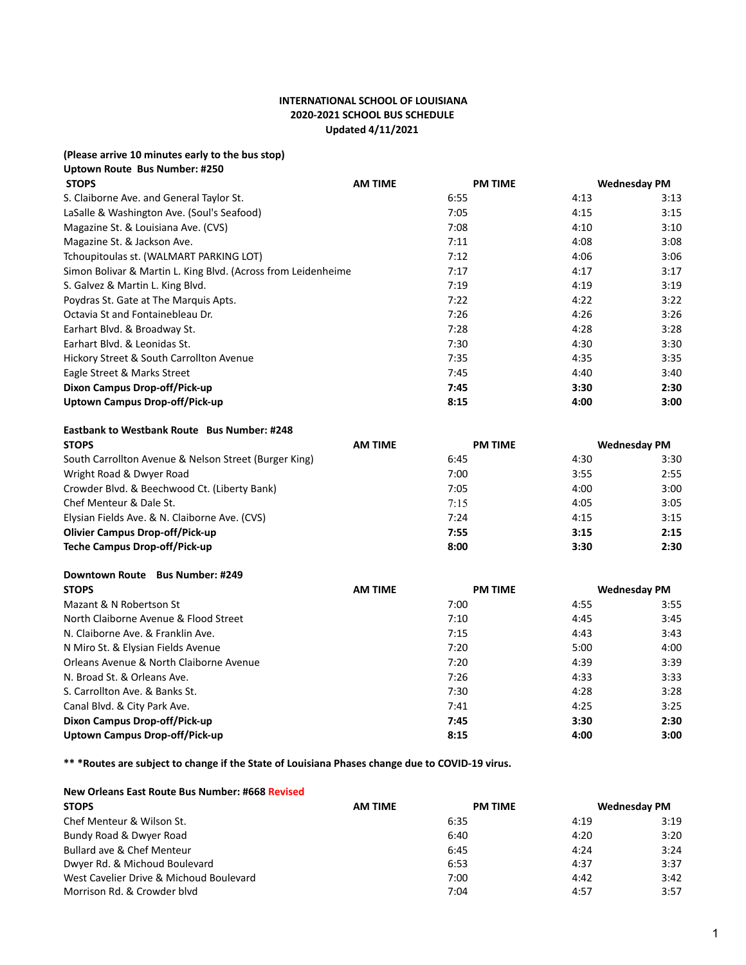## **INTERNATIONAL SCHOOL OF LOUISIANA 2020-2021 SCHOOL BUS SCHEDULE Updated 4/11/2021**

| (Please arrive 10 minutes early to the bus stop) |
|--------------------------------------------------|
| Uptown Route Bus Number: #250                    |
| CTORC                                            |

| <b>AM TIME</b>                                                | <b>PM TIME</b> |      | <b>Wednesday PM</b> |
|---------------------------------------------------------------|----------------|------|---------------------|
|                                                               | 6:55           | 4:13 | 3:13                |
|                                                               | 7:05           | 4:15 | 3:15                |
|                                                               | 7:08           | 4:10 | 3:10                |
|                                                               | 7:11           | 4:08 | 3:08                |
|                                                               | 7:12           | 4:06 | 3:06                |
| Simon Bolivar & Martin L. King Blvd. (Across from Leidenheime | 7:17           | 4:17 | 3:17                |
|                                                               | 7:19           | 4:19 | 3:19                |
|                                                               | 7:22           | 4:22 | 3:22                |
|                                                               | 7:26           | 4:26 | 3:26                |
|                                                               | 7:28           | 4:28 | 3:28                |
|                                                               | 7:30           | 4:30 | 3:30                |
|                                                               | 7:35           | 4:35 | 3:35                |
|                                                               | 7:45           | 4:40 | 3:40                |
|                                                               | 7:45           | 3:30 | 2:30                |
|                                                               | 8:15           | 4:00 | 3:00                |
|                                                               |                |      |                     |

## **Eastbank to Westbank Route Bus Number: #248**

| <b>STOPS</b>                                          | <b>AM TIME</b> | <b>PM TIME</b> |      | <b>Wednesday PM</b> |
|-------------------------------------------------------|----------------|----------------|------|---------------------|
| South Carrollton Avenue & Nelson Street (Burger King) |                | 6:45           | 4:30 | 3:30                |
| Wright Road & Dwyer Road                              |                | 7:00           | 3:55 | 2:55                |
| Crowder Blvd. & Beechwood Ct. (Liberty Bank)          |                | 7:05           | 4:00 | 3:00                |
| Chef Menteur & Dale St.                               |                | 7:15           | 4:05 | 3:05                |
| Elysian Fields Ave. & N. Claiborne Ave. (CVS)         |                | 7:24           | 4:15 | 3:15                |
| <b>Olivier Campus Drop-off/Pick-up</b>                |                | 7:55           | 3:15 | 2:15                |
| Teche Campus Drop-off/Pick-up                         |                | 8:00           | 3:30 | 2:30                |

## **Downtown Route Bus Number: #249**

| <b>STOPS</b>                            | <b>AM TIME</b> | <b>PM TIME</b> | <b>Wednesday PM</b> |      |
|-----------------------------------------|----------------|----------------|---------------------|------|
| Mazant & N Robertson St                 |                | 7:00           | 4:55                | 3:55 |
| North Claiborne Avenue & Flood Street   |                | 7:10           | 4:45                | 3:45 |
| N. Claiborne Ave. & Franklin Ave.       |                | 7:15           | 4:43                | 3:43 |
| N Miro St. & Elysian Fields Avenue      |                | 7:20           | 5:00                | 4:00 |
| Orleans Avenue & North Claiborne Avenue |                | 7:20           | 4:39                | 3:39 |
| N. Broad St. & Orleans Ave.             |                | 7:26           | 4:33                | 3:33 |
| S. Carrollton Ave. & Banks St.          |                | 7:30           | 4:28                | 3:28 |
| Canal Blvd. & City Park Ave.            |                | 7:41           | 4:25                | 3:25 |
| Dixon Campus Drop-off/Pick-up           |                | 7:45           | 3:30                | 2:30 |
| Uptown Campus Drop-off/Pick-up          |                | 8:15           | 4:00                | 3:00 |

**\*\* \*Routes are subject to change if the State of Louisiana Phases change due to COVID-19 virus.**

## **New Orleans East Route Bus Number: #668 Revised**

| <b>STOPS</b>                            | <b>AM TIME</b> | <b>PM TIME</b> | <b>Wednesday PM</b> |
|-----------------------------------------|----------------|----------------|---------------------|
| Chef Menteur & Wilson St.               | 6:35           | 4:19           | 3:19                |
| Bundy Road & Dwyer Road                 | 6:40           | 4:20           | 3:20                |
| Bullard ave & Chef Menteur              | 6:45           | 4:24           | 3:24                |
| Dwyer Rd. & Michoud Boulevard           | 6:53           | 4:37           | 3:37                |
| West Cavelier Drive & Michoud Boulevard | 7:00           | 4:42           | 3:42                |
| Morrison Rd. & Crowder blyd             | 7:04           | 4:57           | 3:57                |